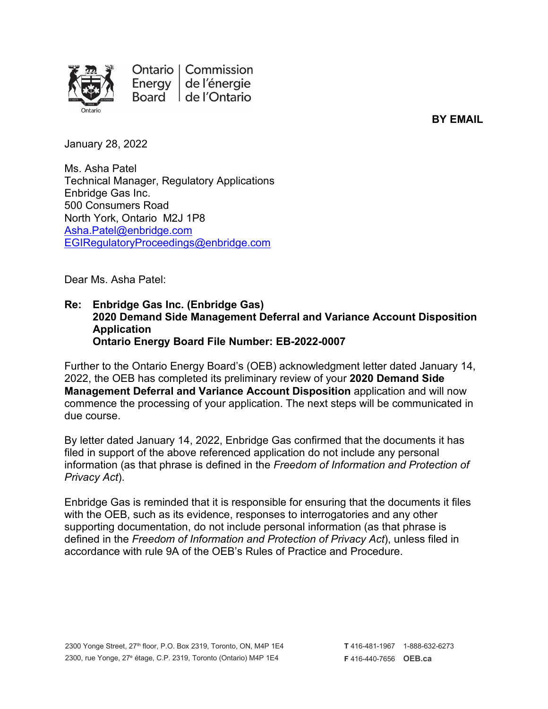

Ontario | Commission Energy de l'énergie Board de l'Ontario

**BY EMAIL**

January 28, 2022

Ms. Asha Patel Technical Manager, Regulatory Applications Enbridge Gas Inc. 500 Consumers Road North York, Ontario M2J 1P8 [Asha.Patel@enbridge.com](mailto:Asha.Patel@enbridge.com) [EGIRegulatoryProceedings@enbridge.com](mailto:EGIRegulatoryProceedings@enbridge.com)

Dear Ms. Asha Patel:

## **Re: Enbridge Gas Inc. (Enbridge Gas) 2020 Demand Side Management Deferral and Variance Account Disposition Application Ontario Energy Board File Number: EB-2022-0007**

Further to the Ontario Energy Board's (OEB) acknowledgment letter dated January 14, 2022, the OEB has completed its preliminary review of your **2020 Demand Side Management Deferral and Variance Account Disposition** application and will now commence the processing of your application. The next steps will be communicated in due course.

By letter dated January 14, 2022, Enbridge Gas confirmed that the documents it has filed in support of the above referenced application do not include any personal information (as that phrase is defined in the *Freedom of Information and Protection of Privacy Act*).

Enbridge Gas is reminded that it is responsible for ensuring that the documents it files with the OEB, such as its evidence, responses to interrogatories and any other supporting documentation, do not include personal information (as that phrase is defined in the *Freedom of Information and Protection of Privacy Act*), unless filed in accordance with rule 9A of the OEB's Rules of Practice and Procedure.